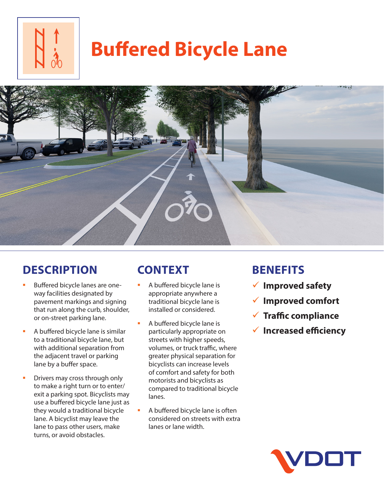

# **Buffered Bicycle Lane**



## **DESCRIPTION**

- Buffered bicycle lanes are oneway facilities designated by pavement markings and signing that run along the curb, shoulder, or on-street parking lane.
- A buffered bicycle lane is similar to a traditional bicycle lane, but with additional separation from the adjacent travel or parking lane by a buffer space.
- Drivers may cross through only to make a right turn or to enter/ exit a parking spot. Bicyclists may use a buffered bicycle lane just as they would a traditional bicycle lane. A bicyclist may leave the lane to pass other users, make turns, or avoid obstacles.

# **CONTEXT**

- A buffered bicycle lane is appropriate anywhere a traditional bicycle lane is installed or considered.
- A buffered bicycle lane is particularly appropriate on streets with higher speeds, volumes, or truck traffic, where greater physical separation for bicyclists can increase levels of comfort and safety for both motorists and bicyclists as compared to traditional bicycle lanes.
- A buffered bicycle lane is often considered on streets with extra lanes or lane width.

## **BENEFITS**

- 9 **Improved safety**
- 9 **Improved comfort**
- 9 **Traffic compliance**
- 9 **Increased efficiency**